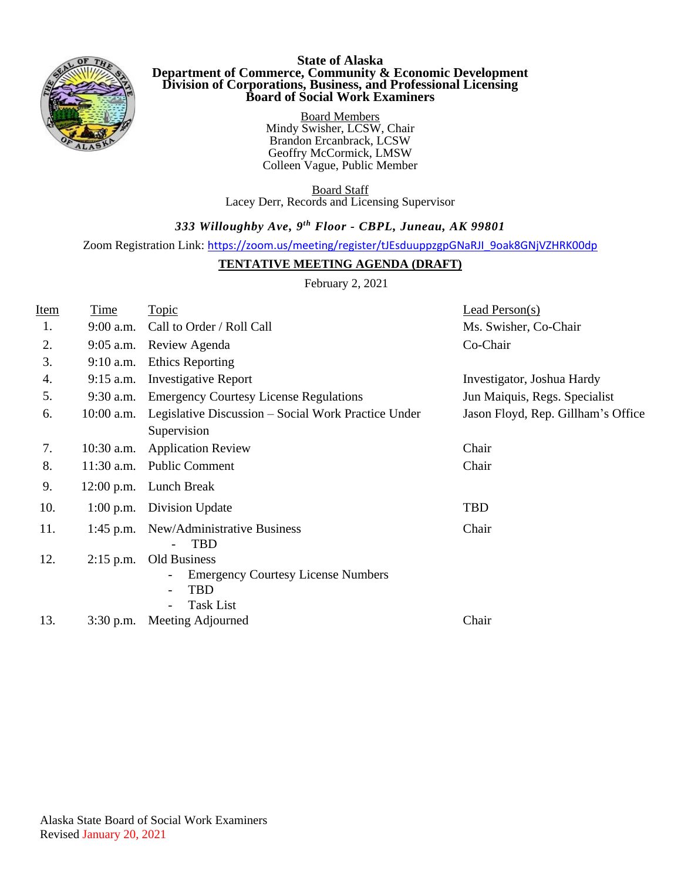

## **State of Alaska Department of Commerce, Community & Economic Development Division of Corporations, Business, and Professional Licensing Board of Social Work Examiners**

Board Members Mindy Swisher, LCSW, Chair Brandon Ercanbrack, LCSW. Geoffry McCormick, LMSW Colleen Vague, Public Member

Board Staff Lacey Derr, Records and Licensing Supervisor

## *333 Willoughby Ave, 9 th Floor - CBPL, Juneau, AK 99801*

Zoom Registration Link: [https://zoom.us/meeting/register/tJEsduuppzgpGNaRJI\\_9oak8GNjVZHRK00dp](https://zoom.us/meeting/register/tJEsduuppzgpGNaRJI_9oak8GNjVZHRK00dp)

## **TENTATIVE MEETING AGENDA (DRAFT)**

February 2, 2021

| <b>Item</b> | <u>Time</u>  | <u>Topic</u>                                                                                | Lead Person(s)                     |
|-------------|--------------|---------------------------------------------------------------------------------------------|------------------------------------|
| 1.          | $9:00$ a.m.  | Call to Order / Roll Call                                                                   | Ms. Swisher, Co-Chair              |
| 2.          |              | 9:05 a.m. Review Agenda                                                                     | Co-Chair                           |
| 3.          | $9:10$ a.m.  | <b>Ethics Reporting</b>                                                                     |                                    |
| 4.          | $9:15$ a.m.  | <b>Investigative Report</b>                                                                 | Investigator, Joshua Hardy         |
| 5.          |              | 9:30 a.m. Emergency Courtesy License Regulations                                            | Jun Maiquis, Regs. Specialist      |
| 6.          | $10:00$ a.m. | Legislative Discussion – Social Work Practice Under                                         | Jason Floyd, Rep. Gillham's Office |
|             |              | Supervision                                                                                 |                                    |
| 7.          | $10:30$ a.m. | <b>Application Review</b>                                                                   | Chair                              |
| 8.          | $11:30$ a.m. | <b>Public Comment</b>                                                                       | Chair                              |
| 9.          |              | 12:00 p.m. Lunch Break                                                                      |                                    |
| 10.         |              | 1:00 p.m. Division Update                                                                   | <b>TBD</b>                         |
| 11.         |              | 1:45 p.m. New/Administrative Business<br><b>TBD</b>                                         | Chair                              |
| 12.         | $2:15$ p.m.  | Old Business<br><b>Emergency Courtesy License Numbers</b><br><b>TBD</b><br><b>Task List</b> |                                    |
| 13.         | $3:30$ p.m.  | Meeting Adjourned                                                                           | Chair                              |